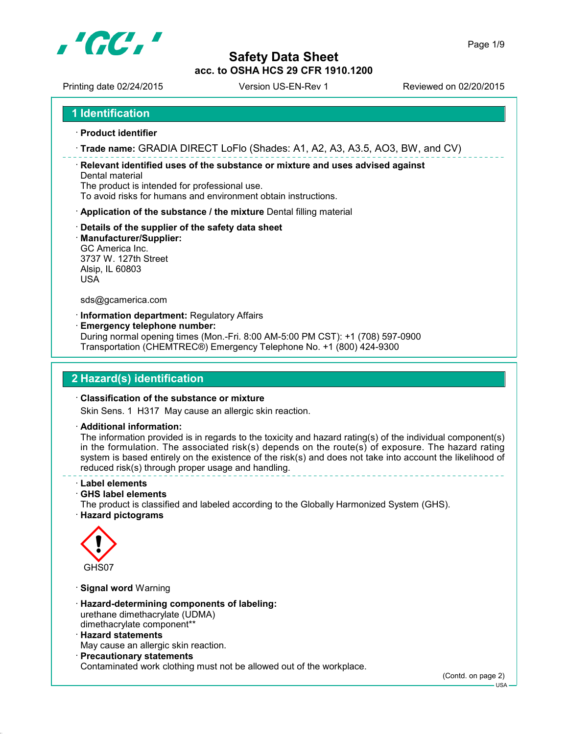

Printing date 02/24/2015 Version US-EN-Rev 1 Reviewed on 02/20/2015

#### **1 Identification**

- **Product identifier**
- **Trade name:** GRADIA DIRECT LoFlo (Shades: A1, A2, A3, A3.5, AO3, BW, and CV)

 **Relevant identified uses of the substance or mixture and uses advised against** Dental material

The product is intended for professional use.

To avoid risks for humans and environment obtain instructions.

- **Application of the substance / the mixture** Dental filling material
- **Details of the supplier of the safety data sheet**
- **Manufacturer/Supplier:**

GC America Inc. 3737 W. 127th Street Alsip, IL 60803 USA

sds@gcamerica.com

**Information department:** Regulatory Affairs

**Emergency telephone number:**

During normal opening times (Mon.-Fri. 8:00 AM-5:00 PM CST): +1 (708) 597-0900 Transportation (CHEMTREC®) Emergency Telephone No. +1 (800) 424-9300

#### **2 Hazard(s) identification**

#### **Classification of the substance or mixture**

Skin Sens. 1 H317 May cause an allergic skin reaction.

**Additional information:**

The information provided is in regards to the toxicity and hazard rating(s) of the individual component(s) in the formulation. The associated risk(s) depends on the route(s) of exposure. The hazard rating system is based entirely on the existence of the risk(s) and does not take into account the likelihood of reduced risk(s) through proper usage and handling.

#### **Label elements**

**GHS label elements**

The product is classified and labeled according to the Globally Harmonized System (GHS). **Hazard pictograms**



**Signal word** Warning

- **Hazard-determining components of labeling:** urethane dimethacrylate (UDMA) dimethacrylate component\*\*
- **Hazard statements**

May cause an allergic skin reaction.

**Precautionary statements**

Contaminated work clothing must not be allowed out of the workplace.

(Contd. on page 2)

USA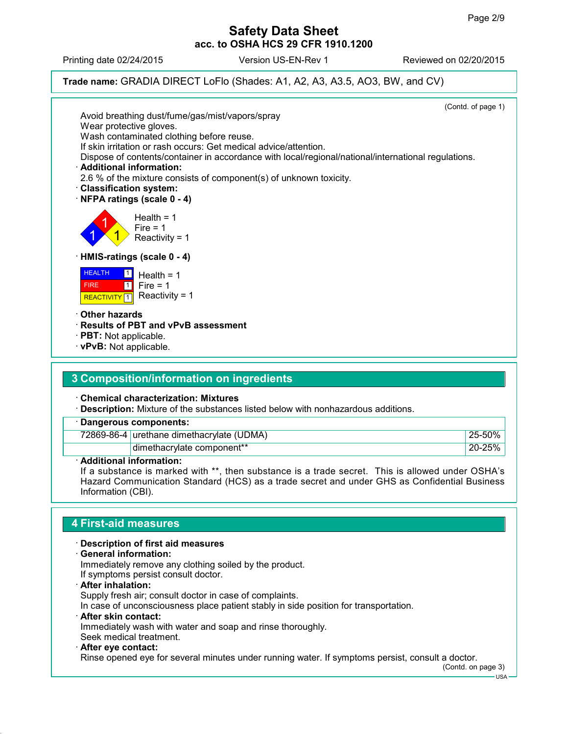Printing date 02/24/2015 Version US-EN-Rev 1 Reviewed on 02/20/2015

**Trade name:** GRADIA DIRECT LoFlo (Shades: A1, A2, A3, A3.5, AO3, BW, and CV)

| Avoid breathing dust/fume/gas/mist/vapors/spray                                                                                               | (Contd. of page 1) |
|-----------------------------------------------------------------------------------------------------------------------------------------------|--------------------|
| Wear protective gloves.                                                                                                                       |                    |
| Wash contaminated clothing before reuse.                                                                                                      |                    |
| If skin irritation or rash occurs: Get medical advice/attention.                                                                              |                    |
| Dispose of contents/container in accordance with local/regional/national/international regulations.                                           |                    |
| · Additional information:<br>2.6 % of the mixture consists of component(s) of unknown toxicity.                                               |                    |
| <b>Classification system:</b>                                                                                                                 |                    |
| NFPA ratings (scale 0 - 4)                                                                                                                    |                    |
|                                                                                                                                               |                    |
| Health = $1$                                                                                                                                  |                    |
| Fire $= 1$<br>Reactivity = $1$                                                                                                                |                    |
|                                                                                                                                               |                    |
| HMIS-ratings (scale 0 - 4)                                                                                                                    |                    |
| <b>HEALTH</b><br>$\vert$ 1 $\vert$<br>Health = $1$<br>Fire = $1$<br>$\boxed{1}$<br><b>FIRE</b><br>Reactivity = $1$<br>REACTIVITY <sup>1</sup> |                    |
| <b>∙ Other hazards</b>                                                                                                                        |                    |
| · Results of PBT and vPvB assessment                                                                                                          |                    |
| · PBT: Not applicable.                                                                                                                        |                    |
| · vPvB: Not applicable.                                                                                                                       |                    |
|                                                                                                                                               |                    |
| 3 Composition/information on ingredients                                                                                                      |                    |
|                                                                                                                                               |                    |
| <b>Chemical characterization: Mixtures</b>                                                                                                    |                    |
| Description: Mixture of the substances listed below with nonhazardous additions.                                                              |                    |
| <b>Dangerous components:</b>                                                                                                                  |                    |
| 72869-86-4 urethane dimethacrylate (UDMA)                                                                                                     | 25-50%             |
| dimethacrylate component**                                                                                                                    | 20-25%             |
| · Additional information:                                                                                                                     |                    |

If a substance is marked with \*\*, then substance is a trade secret. This is allowed under OSHA's Hazard Communication Standard (HCS) as a trade secret and under GHS as Confidential Business Information (CBI).

## **4 First-aid measures**

 **Description of first aid measures General information:** Immediately remove any clothing soiled by the product. If symptoms persist consult doctor.

 **After inhalation:** Supply fresh air; consult doctor in case of complaints. In case of unconsciousness place patient stably in side position for transportation. **After skin contact:** Immediately wash with water and soap and rinse thoroughly.

Seek medical treatment. **After eye contact:**

Rinse opened eye for several minutes under running water. If symptoms persist, consult a doctor.

(Contd. on page 3)

USA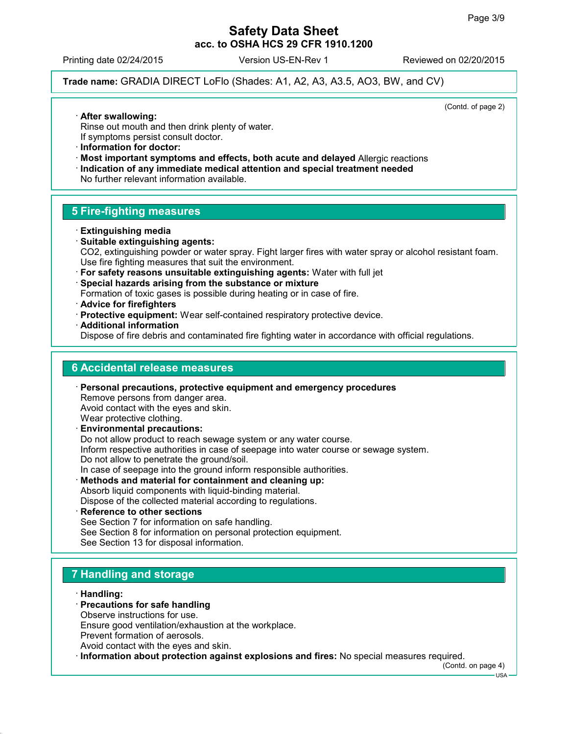Printing date 02/24/2015 Version US-EN-Rev 1 Reviewed on 02/20/2015

**Trade name:** GRADIA DIRECT LoFlo (Shades: A1, A2, A3, A3.5, AO3, BW, and CV)

(Contd. of page 2)

- **After swallowing:**
- Rinse out mouth and then drink plenty of water.
- If symptoms persist consult doctor.
- **Information for doctor:**
- **Most important symptoms and effects, both acute and delayed** Allergic reactions
- **Indication of any immediate medical attention and special treatment needed**

No further relevant information available.

## **5 Fire-fighting measures**

- **Extinguishing media**
- **Suitable extinguishing agents:** CO2, extinguishing powder or water spray. Fight larger fires with water spray or alcohol resistant foam. Use fire fighting measures that suit the environment.
- **For safety reasons unsuitable extinguishing agents:** Water with full jet
- **Special hazards arising from the substance or mixture**

Formation of toxic gases is possible during heating or in case of fire.

- **Advice for firefighters**
- **Protective equipment:** Wear self-contained respiratory protective device.
- **Additional information**

Dispose of fire debris and contaminated fire fighting water in accordance with official regulations.

#### **6 Accidental release measures**

 **Personal precautions, protective equipment and emergency procedures** Remove persons from danger area. Avoid contact with the eyes and skin. Wear protective clothing. **Environmental precautions:** Do not allow product to reach sewage system or any water course.

Inform respective authorities in case of seepage into water course or sewage system. Do not allow to penetrate the ground/soil.

In case of seepage into the ground inform responsible authorities.

- **Methods and material for containment and cleaning up:** Absorb liquid components with liquid-binding material. Dispose of the collected material according to regulations.
- **Reference to other sections** See Section 7 for information on safe handling. See Section 8 for information on personal protection equipment. See Section 13 for disposal information.

# **7 Handling and storage**

- **Handling:**
- **Precautions for safe handling**
- Observe instructions for use.

Ensure good ventilation/exhaustion at the workplace. Prevent formation of aerosols.

Avoid contact with the eyes and skin.

**Information about protection against explosions and fires:** No special measures required.

(Contd. on page 4)

USA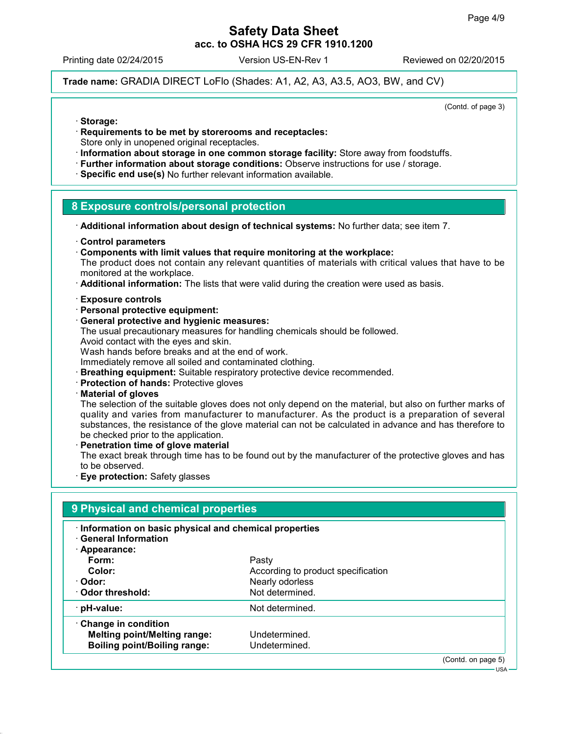Printing date 02/24/2015 Version US-EN-Rev 1 Reviewed on 02/20/2015

**Trade name:** GRADIA DIRECT LoFlo (Shades: A1, A2, A3, A3.5, AO3, BW, and CV)

(Contd. of page 3)

- **Storage:**
- **Requirements to be met by storerooms and receptacles:**
- Store only in unopened original receptacles.
- **Information about storage in one common storage facility:** Store away from foodstuffs.
- **Further information about storage conditions:** Observe instructions for use / storage.
- **Specific end use(s)** No further relevant information available.

#### **8 Exposure controls/personal protection**

**Additional information about design of technical systems:** No further data; see item 7.

- **Control parameters**
- **Components with limit values that require monitoring at the workplace:**

The product does not contain any relevant quantities of materials with critical values that have to be monitored at the workplace.

- **Additional information:** The lists that were valid during the creation were used as basis.
- **Exposure controls**
- **Personal protective equipment:**
- **General protective and hygienic measures:**

The usual precautionary measures for handling chemicals should be followed.

Avoid contact with the eyes and skin.

Wash hands before breaks and at the end of work.

Immediately remove all soiled and contaminated clothing.

- **Breathing equipment:** Suitable respiratory protective device recommended.
- **Protection of hands:** Protective gloves
- **Material of gloves**

The selection of the suitable gloves does not only depend on the material, but also on further marks of quality and varies from manufacturer to manufacturer. As the product is a preparation of several substances, the resistance of the glove material can not be calculated in advance and has therefore to be checked prior to the application.

 **Penetration time of glove material** The exact break through time has to be found out by the manufacturer of the protective gloves and has to be observed.

**Eye protection:** Safety glasses

#### **9 Physical and chemical properties**

- **Information on basic physical and chemical properties**
- **General Information**

| Appearance:                         |                                    |                    |
|-------------------------------------|------------------------------------|--------------------|
| Form:                               | Pasty                              |                    |
| Color:                              | According to product specification |                    |
| · Odor:                             | Nearly odorless                    |                    |
| Odor threshold:                     | Not determined.                    |                    |
| pH-value:                           | Not determined.                    |                    |
| Change in condition                 |                                    |                    |
| <b>Melting point/Melting range:</b> | Undetermined.                      |                    |
| <b>Boiling point/Boiling range:</b> | Undetermined.                      |                    |
|                                     |                                    | (Contd. on page 5) |

USA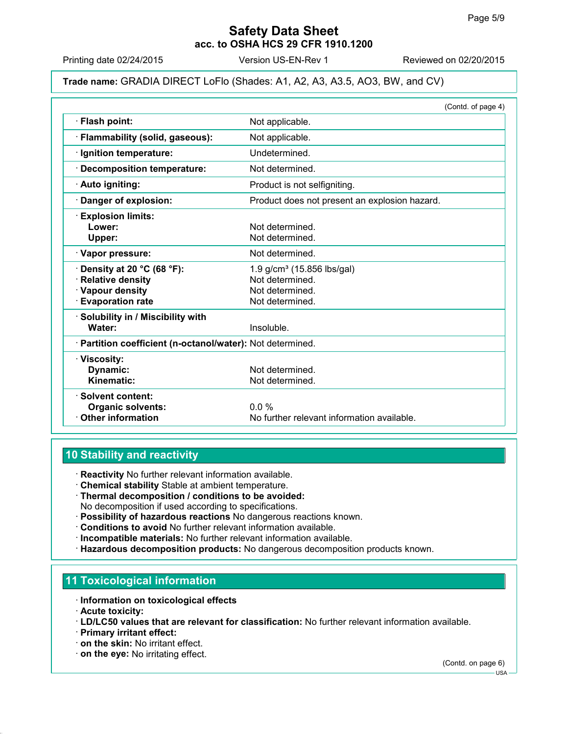Printing date 02/24/2015 Version US-EN-Rev 1 Reviewed on 02/20/2015

#### **Trade name:** GRADIA DIRECT LoFlo (Shades: A1, A2, A3, A3.5, AO3, BW, and CV)

|                                                            | (Contd. of page 4)                            |
|------------------------------------------------------------|-----------------------------------------------|
| · Flash point:                                             | Not applicable.                               |
| · Flammability (solid, gaseous):                           | Not applicable.                               |
| · Ignition temperature:                                    | Undetermined.                                 |
| <b>Decomposition temperature:</b>                          | Not determined.                               |
| · Auto igniting:                                           | Product is not selfigniting.                  |
| Danger of explosion:                                       | Product does not present an explosion hazard. |
| <b>Explosion limits:</b>                                   |                                               |
| Lower:                                                     | Not determined.                               |
| Upper:                                                     | Not determined.                               |
| · Vapor pressure:                                          | Not determined.                               |
| Density at 20 °C (68 °F):                                  | 1.9 g/cm <sup>3</sup> (15.856 lbs/gal)        |
| <b>Relative density</b>                                    | Not determined.                               |
| · Vapour density                                           | Not determined.                               |
| <b>Evaporation rate</b>                                    | Not determined.                               |
| · Solubility in / Miscibility with                         |                                               |
| Water:                                                     | Insoluble.                                    |
| · Partition coefficient (n-octanol/water): Not determined. |                                               |
| · Viscosity:                                               |                                               |
| Dynamic:                                                   | Not determined.                               |
| Kinematic:                                                 | Not determined.                               |
| · Solvent content:                                         |                                               |
| <b>Organic solvents:</b>                                   | 0.0%                                          |
| <b>Other information</b>                                   | No further relevant information available.    |

## **10 Stability and reactivity**

**Reactivity** No further relevant information available.

- **Chemical stability** Stable at ambient temperature.
- **Thermal decomposition / conditions to be avoided:** No decomposition if used according to specifications.
- **Possibility of hazardous reactions** No dangerous reactions known.
- **Conditions to avoid** No further relevant information available.
- **Incompatible materials:** No further relevant information available.
- **Hazardous decomposition products:** No dangerous decomposition products known.

#### **11 Toxicological information**

- **Information on toxicological effects**
- **Acute toxicity:**
- **LD/LC50 values that are relevant for classification:** No further relevant information available.
- **Primary irritant effect:**
- **on the skin:** No irritant effect.
- **on the eye:** No irritating effect.

(Contd. on page 6)

USA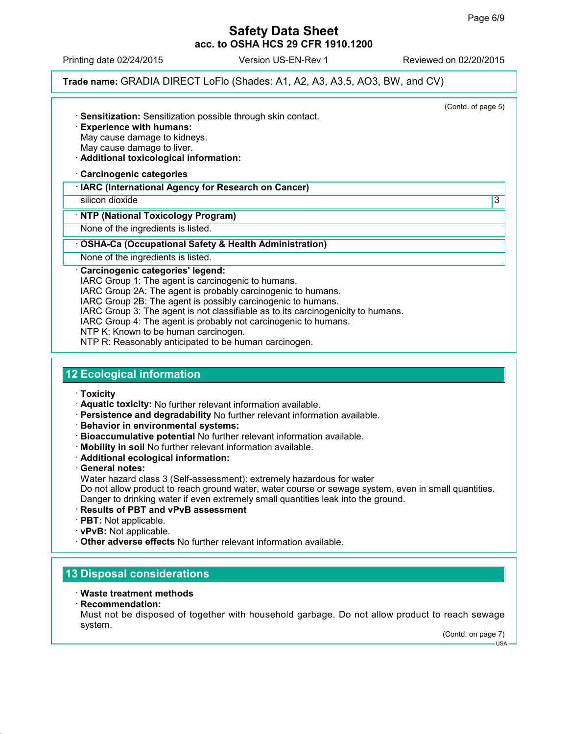Printing date 02/24/2015 Version US-EN-Rev 1 Reviewed on 02/20/2015

**Trade name:** GRADIA DIRECT LoFlo (Shades: A1, A2, A3, A3.5, AO3, BW, and CV)

(Contd. of page 5) **Sensitization:** Sensitization possible through skin contact. **Experience with humans:** May cause damage to kidneys. May cause damage to liver. **Additional toxicological information: Carcinogenic categories IARC (International Agency for Research on Cancer)** silicon dioxide 3 **NTP (National Toxicology Program)** None of the ingredients is listed. **OSHA-Ca (Occupational Safety & Health Administration)** None of the ingredients is listed. **Carcinogenic categories' legend:** IARC Group 1: The agent is carcinogenic to humans. IARC Group 2A: The agent is probably carcinogenic to humans. IARC Group 2B: The agent is possibly carcinogenic to humans. IARC Group 3: The agent is not classifiable as to its carcinogenicity to humans. IARC Group 4: The agent is probably not carcinogenic to humans. NTP K: Known to be human carcinogen.

NTP R: Reasonably anticipated to be human carcinogen.

### **12 Ecological information**

- **Toxicity**
- **Aquatic toxicity:** No further relevant information available.
- **Persistence and degradability** No further relevant information available.
- **Behavior in environmental systems:**
- **Bioaccumulative potential** No further relevant information available.
- **Mobility in soil** No further relevant information available.
- **Additional ecological information:**
- **General notes:**
- Water hazard class 3 (Self-assessment): extremely hazardous for water

Do not allow product to reach ground water, water course or sewage system, even in small quantities. Danger to drinking water if even extremely small quantities leak into the ground.

- **Results of PBT and vPvB assessment**
- **PBT:** Not applicable.
- **vPvB:** Not applicable.
- **Other adverse effects** No further relevant information available.

### **13 Disposal considerations**

- **Waste treatment methods**
- **Recommendation:**

Must not be disposed of together with household garbage. Do not allow product to reach sewage system.

(Contd. on page 7)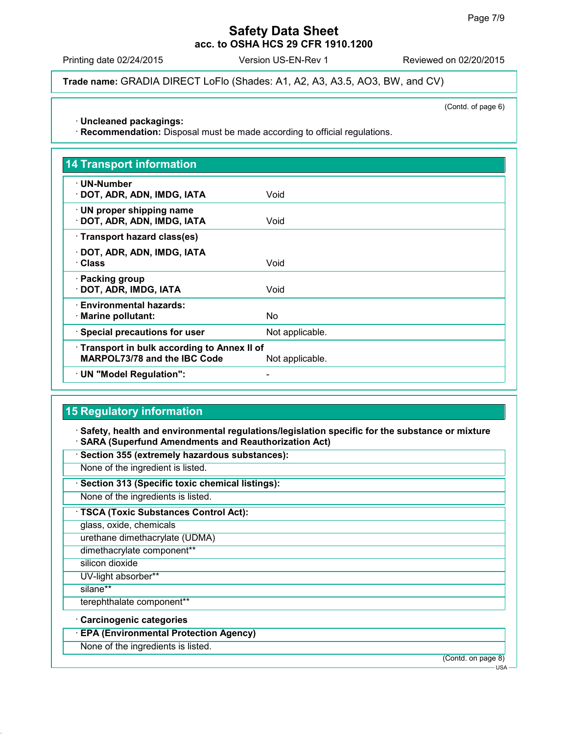Printing date 02/24/2015 Version US-EN-Rev 1 Reviewed on 02/20/2015

**Trade name:** GRADIA DIRECT LoFlo (Shades: A1, A2, A3, A3.5, AO3, BW, and CV)

(Contd. of page 6)

**Uncleaned packagings:**

**Recommendation:** Disposal must be made according to official regulations.

| <b>14 Transport information</b>                                                   |                 |
|-----------------------------------------------------------------------------------|-----------------|
| $\cdot$ UN-Number<br>· DOT, ADR, ADN, IMDG, IATA                                  | Void            |
| $\cdot$ UN proper shipping name<br>· DOT, ADR, ADN, IMDG, IATA                    | Void            |
| · Transport hazard class(es)                                                      |                 |
| · DOT, ADR, ADN, IMDG, IATA<br>· Class                                            | Void            |
| · Packing group<br>· DOT, ADR, IMDG, IATA                                         | Void            |
| · Environmental hazards:<br>· Marine pollutant:                                   | <b>No</b>       |
| · Special precautions for user                                                    | Not applicable. |
| Transport in bulk according to Annex II of<br><b>MARPOL73/78 and the IBC Code</b> | Not applicable. |
| · UN "Model Regulation":                                                          |                 |

# **15 Regulatory information**

 **Safety, health and environmental regulations/legislation specific for the substance or mixture SARA (Superfund Amendments and Reauthorization Act)**

**Section 355 (extremely hazardous substances):**

None of the ingredient is listed.

**Section 313 (Specific toxic chemical listings):**

None of the ingredients is listed.

**TSCA (Toxic Substances Control Act):**

glass, oxide, chemicals

urethane dimethacrylate (UDMA)

dimethacrylate component\*\*

silicon dioxide

UV-light absorber\*\*

silane\*\*

terephthalate component\*\*

**Carcinogenic categories**

**EPA (Environmental Protection Agency)**

None of the ingredients is listed.

(Contd. on page 8)

USA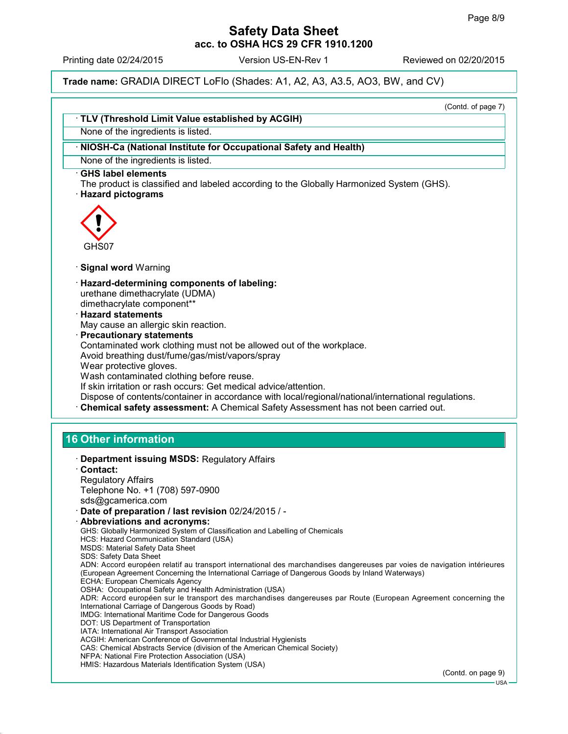Printing date 02/24/2015 Version US-EN-Rev 1 Reviewed on 02/20/2015

**Trade name:** GRADIA DIRECT LoFlo (Shades: A1, A2, A3, A3.5, AO3, BW, and CV)

(Contd. of page 7)

| None of the ingredients is listed.                                                                                                                                                                                                                                                                                                                                                                                                                                                                                                                                                                                                                                                                                                                                                                                                                                                                                                                                                                                                                                                                                                                                                  |                               |
|-------------------------------------------------------------------------------------------------------------------------------------------------------------------------------------------------------------------------------------------------------------------------------------------------------------------------------------------------------------------------------------------------------------------------------------------------------------------------------------------------------------------------------------------------------------------------------------------------------------------------------------------------------------------------------------------------------------------------------------------------------------------------------------------------------------------------------------------------------------------------------------------------------------------------------------------------------------------------------------------------------------------------------------------------------------------------------------------------------------------------------------------------------------------------------------|-------------------------------|
|                                                                                                                                                                                                                                                                                                                                                                                                                                                                                                                                                                                                                                                                                                                                                                                                                                                                                                                                                                                                                                                                                                                                                                                     |                               |
| NIOSH-Ca (National Institute for Occupational Safety and Health)                                                                                                                                                                                                                                                                                                                                                                                                                                                                                                                                                                                                                                                                                                                                                                                                                                                                                                                                                                                                                                                                                                                    |                               |
| None of the ingredients is listed.                                                                                                                                                                                                                                                                                                                                                                                                                                                                                                                                                                                                                                                                                                                                                                                                                                                                                                                                                                                                                                                                                                                                                  |                               |
| <b>GHS label elements</b><br>The product is classified and labeled according to the Globally Harmonized System (GHS).<br><b>Hazard pictograms</b>                                                                                                                                                                                                                                                                                                                                                                                                                                                                                                                                                                                                                                                                                                                                                                                                                                                                                                                                                                                                                                   |                               |
| GHS07                                                                                                                                                                                                                                                                                                                                                                                                                                                                                                                                                                                                                                                                                                                                                                                                                                                                                                                                                                                                                                                                                                                                                                               |                               |
| · Signal word Warning                                                                                                                                                                                                                                                                                                                                                                                                                                                                                                                                                                                                                                                                                                                                                                                                                                                                                                                                                                                                                                                                                                                                                               |                               |
| · Hazard-determining components of labeling:<br>urethane dimethacrylate (UDMA)<br>dimethacrylate component**<br><b>Hazard statements</b><br>May cause an allergic skin reaction.<br>· Precautionary statements<br>Contaminated work clothing must not be allowed out of the workplace.<br>Avoid breathing dust/fume/gas/mist/vapors/spray<br>Wear protective gloves.<br>Wash contaminated clothing before reuse.<br>If skin irritation or rash occurs: Get medical advice/attention.<br>Dispose of contents/container in accordance with local/regional/national/international regulations.<br>Chemical safety assessment: A Chemical Safety Assessment has not been carried out.                                                                                                                                                                                                                                                                                                                                                                                                                                                                                                   |                               |
|                                                                                                                                                                                                                                                                                                                                                                                                                                                                                                                                                                                                                                                                                                                                                                                                                                                                                                                                                                                                                                                                                                                                                                                     |                               |
| <b>16 Other information</b>                                                                                                                                                                                                                                                                                                                                                                                                                                                                                                                                                                                                                                                                                                                                                                                                                                                                                                                                                                                                                                                                                                                                                         |                               |
| <b>Department issuing MSDS: Regulatory Affairs</b><br>Contact:<br><b>Regulatory Affairs</b><br>Telephone No. +1 (708) 597-0900                                                                                                                                                                                                                                                                                                                                                                                                                                                                                                                                                                                                                                                                                                                                                                                                                                                                                                                                                                                                                                                      |                               |
| sds@gcamerica.com<br>Date of preparation / last revision 02/24/2015 / -<br>· Abbreviations and acronyms:<br>GHS: Globally Harmonized System of Classification and Labelling of Chemicals<br>HCS: Hazard Communication Standard (USA)<br><b>MSDS: Material Safety Data Sheet</b><br><b>SDS: Safety Data Sheet</b><br>ADN: Accord européen relatif au transport international des marchandises dangereuses par voies de navigation intérieures<br>(European Agreement Concerning the International Carriage of Dangerous Goods by Inland Waterways)<br>ECHA: European Chemicals Agency<br>OSHA: Occupational Safety and Health Administration (USA)<br>ADR: Accord européen sur le transport des marchandises dangereuses par Route (European Agreement concerning the<br>International Carriage of Dangerous Goods by Road)<br>IMDG: International Maritime Code for Dangerous Goods<br>DOT: US Department of Transportation<br>IATA: International Air Transport Association<br>ACGIH: American Conference of Governmental Industrial Hygienists<br>CAS: Chemical Abstracts Service (division of the American Chemical Society)<br>NFPA: National Fire Protection Association (USA) |                               |
| HMIS: Hazardous Materials Identification System (USA)                                                                                                                                                                                                                                                                                                                                                                                                                                                                                                                                                                                                                                                                                                                                                                                                                                                                                                                                                                                                                                                                                                                               | (Contd. on page 9)<br>$USA -$ |